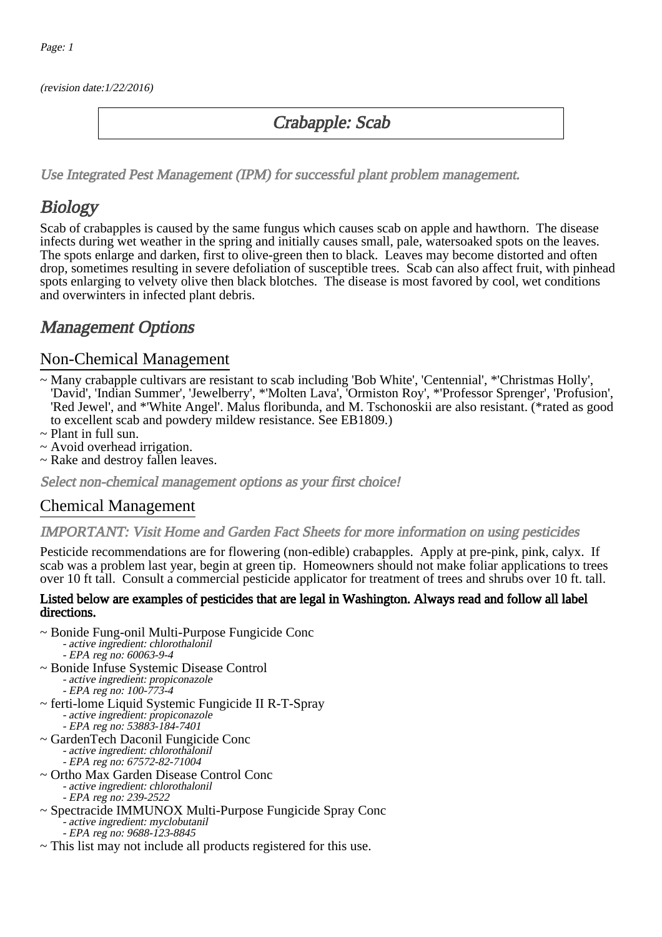(revision date:1/22/2016)

## Crabapple: Scab

[Use Integrated Pest Management \(IPM\) for successful plant problem management.](http://pep.wsu.edu/Home_Garden/H_G_Pesticide_info/urban_Integrated_Pest_Managmen/)

# **Biology**

Scab of crabapples is caused by the same fungus which causes scab on apple and hawthorn. The disease infects during wet weather in the spring and initially causes small, pale, watersoaked spots on the leaves. The spots enlarge and darken, first to olive-green then to black. Leaves may become distorted and often drop, sometimes resulting in severe defoliation of susceptible trees. Scab can also affect fruit, with pinhead spots enlarging to velvety olive then black blotches. The disease is most favored by cool, wet conditions and overwinters in infected plant debris.

# Management Options

### Non-Chemical Management

- ~ Many crabapple cultivars are resistant to scab including 'Bob White', 'Centennial', \*'Christmas Holly', 'David', 'Indian Summer', 'Jewelberry', \*'Molten Lava', 'Ormiston Roy', \*'Professor Sprenger', 'Profusion', 'Red Jewel', and \*'White Angel'. Malus floribunda, and M. Tschonoskii are also resistant. (\*rated as good to excellent scab and powdery mildew resistance. See EB1809.)
- ~ Plant in full sun.
- ~ Avoid overhead irrigation.
- ~ Rake and destroy fallen leaves.

Select non-chemical management options as your first choice!

## Chemical Management

#### IMPORTANT: [Visit Home and Garden Fact Sheets for more information on using pesticides](http://pep.wsu.edu/Home_Garden/H_G_Pesticide_info/)

Pesticide recommendations are for flowering (non-edible) crabapples. Apply at pre-pink, pink, calyx. If scab was a problem last year, begin at green tip. Homeowners should not make foliar applications to trees over 10 ft tall. Consult a commercial pesticide applicator for treatment of trees and shrubs over 10 ft. tall.

#### Listed below are examples of pesticides that are legal in Washington. Always read and follow all label directions.

- ~ Bonide Fung-onil Multi-Purpose Fungicide Conc
	- active ingredient: chlorothalonil
	- EPA reg no: 60063-9-4
- ~ Bonide Infuse Systemic Disease Control - active ingredient: propiconazole
	- EPA reg no: 100-773-4
- ~ ferti-lome Liquid Systemic Fungicide II R-T-Spray - active ingredient: propiconazole - EPA reg no: 53883-184-7401
- ~ GardenTech Daconil Fungicide Conc - active ingredient: chlorothalonil - EPA reg no: 67572-82-71004
- ~ Ortho Max Garden Disease Control Conc
	- -<br>active ingredient: chlorothalonil
	- EPA reg no: 239-2522
- ~ Spectracide IMMUNOX Multi-Purpose Fungicide Spray Conc - active ingredient: myclobutanil
	- EPA reg no: 9688-123-8845
- ~ This list may not include all products registered for this use.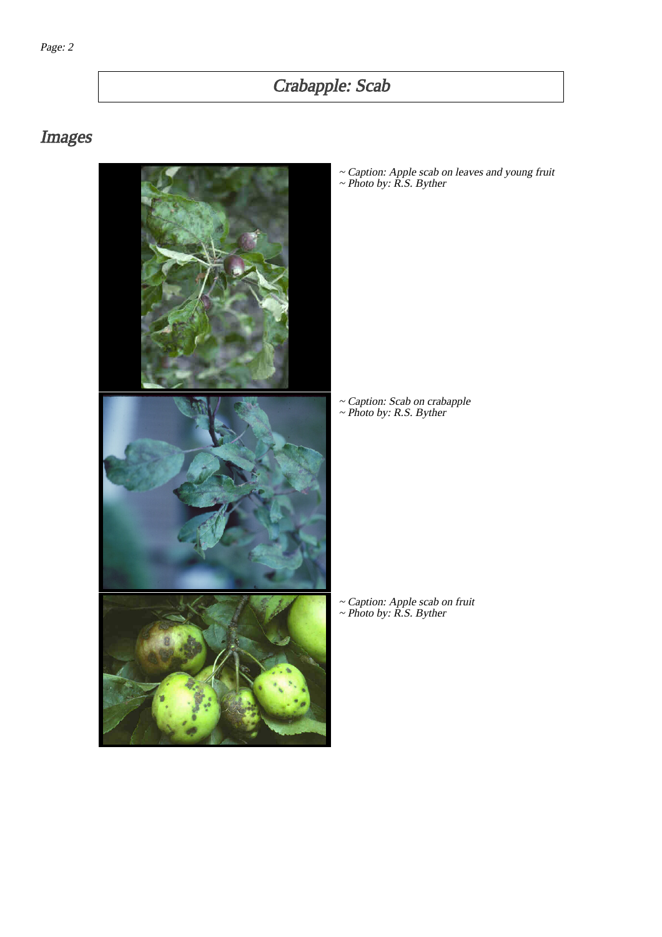# Crabapple: Scab

# Images



~ Caption: Apple scab on leaves and young fruit ~ Photo by: R.S. Byther

~ Caption: Scab on crabapple ~ Photo by: R.S. Byther

~ Caption: Apple scab on fruit ~ Photo by: R.S. Byther